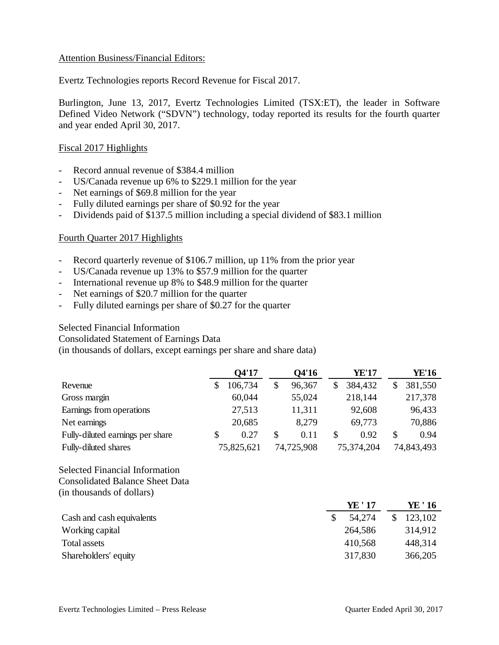# Attention Business/Financial Editors:

Evertz Technologies reports Record Revenue for Fiscal 2017.

Burlington, June 13, 2017, Evertz Technologies Limited (TSX:ET), the leader in Software Defined Video Network ("SDVN") technology, today reported its results for the fourth quarter and year ended April 30, 2017.

# Fiscal 2017 Highlights

- Record annual revenue of \$384.4 million
- US/Canada revenue up 6% to \$229.1 million for the year
- Net earnings of \$69.8 million for the year
- Fully diluted earnings per share of \$0.92 for the year
- Dividends paid of \$137.5 million including a special dividend of \$83.1 million

# Fourth Quarter 2017 Highlights

- Record quarterly revenue of \$106.7 million, up 11% from the prior year
- US/Canada revenue up 13% to \$57.9 million for the quarter
- International revenue up 8% to \$48.9 million for the quarter
- Net earnings of \$20.7 million for the quarter
- Fully diluted earnings per share of \$0.27 for the quarter

#### Selected Financial Information

Consolidated Statement of Earnings Data

(in thousands of dollars, except earnings per share and share data)

|                                  |   | O4'17      | Q4'16        | YE'17         |   | YE'16      |
|----------------------------------|---|------------|--------------|---------------|---|------------|
| Revenue                          |   | 106,734    | \$<br>96,367 | \$<br>384,432 |   | 381,550    |
| Gross margin                     |   | 60,044     | 55,024       | 218,144       |   | 217,378    |
| Earnings from operations         |   | 27,513     | 11,311       | 92,608        |   | 96,433     |
| Net earnings                     |   | 20,685     | 8,279        | 69,773        |   | 70,886     |
| Fully-diluted earnings per share | S | 0.27       | \$<br>0.11   | \$<br>0.92    | S | 0.94       |
| Fully-diluted shares             |   | 75,825,621 | 74,725,908   | 75,374,204    |   | 74,843,493 |

## Selected Financial Information Consolidated Balance Sheet Data (in thousands of dollars)

|                           | YE ' 17 | YE ' 16 |
|---------------------------|---------|---------|
| Cash and cash equivalents | 54,274  | 123,102 |
| Working capital           | 264,586 | 314,912 |
| Total assets              | 410,568 | 448,314 |
| Shareholders' equity      | 317,830 | 366,205 |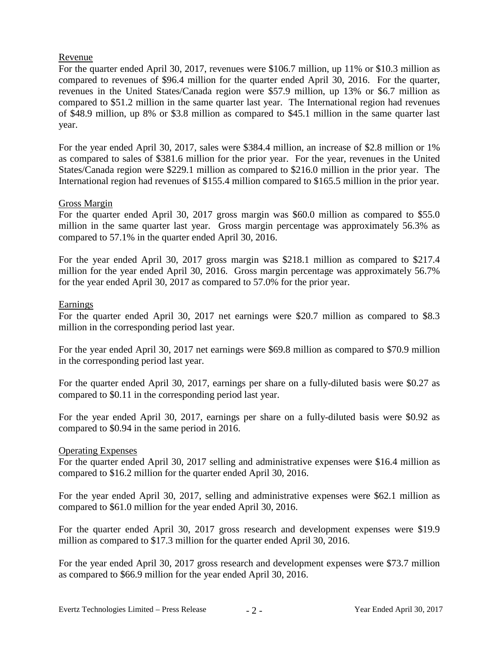# Revenue

For the quarter ended April 30, 2017, revenues were \$106.7 million, up 11% or \$10.3 million as compared to revenues of \$96.4 million for the quarter ended April 30, 2016. For the quarter, revenues in the United States/Canada region were \$57.9 million, up 13% or \$6.7 million as compared to \$51.2 million in the same quarter last year. The International region had revenues of \$48.9 million, up 8% or \$3.8 million as compared to \$45.1 million in the same quarter last year.

For the year ended April 30, 2017, sales were \$384.4 million, an increase of \$2.8 million or 1% as compared to sales of \$381.6 million for the prior year. For the year, revenues in the United States/Canada region were \$229.1 million as compared to \$216.0 million in the prior year. The International region had revenues of \$155.4 million compared to \$165.5 million in the prior year.

# Gross Margin

For the quarter ended April 30, 2017 gross margin was \$60.0 million as compared to \$55.0 million in the same quarter last year. Gross margin percentage was approximately 56.3% as compared to 57.1% in the quarter ended April 30, 2016.

For the year ended April 30, 2017 gross margin was \$218.1 million as compared to \$217.4 million for the year ended April 30, 2016. Gross margin percentage was approximately 56.7% for the year ended April 30, 2017 as compared to 57.0% for the prior year.

#### **Earnings**

For the quarter ended April 30, 2017 net earnings were \$20.7 million as compared to \$8.3 million in the corresponding period last year.

For the year ended April 30, 2017 net earnings were \$69.8 million as compared to \$70.9 million in the corresponding period last year.

For the quarter ended April 30, 2017, earnings per share on a fully-diluted basis were \$0.27 as compared to \$0.11 in the corresponding period last year.

For the year ended April 30, 2017, earnings per share on a fully-diluted basis were \$0.92 as compared to \$0.94 in the same period in 2016.

#### Operating Expenses

For the quarter ended April 30, 2017 selling and administrative expenses were \$16.4 million as compared to \$16.2 million for the quarter ended April 30, 2016.

For the year ended April 30, 2017, selling and administrative expenses were \$62.1 million as compared to \$61.0 million for the year ended April 30, 2016.

For the quarter ended April 30, 2017 gross research and development expenses were \$19.9 million as compared to \$17.3 million for the quarter ended April 30, 2016.

For the year ended April 30, 2017 gross research and development expenses were \$73.7 million as compared to \$66.9 million for the year ended April 30, 2016.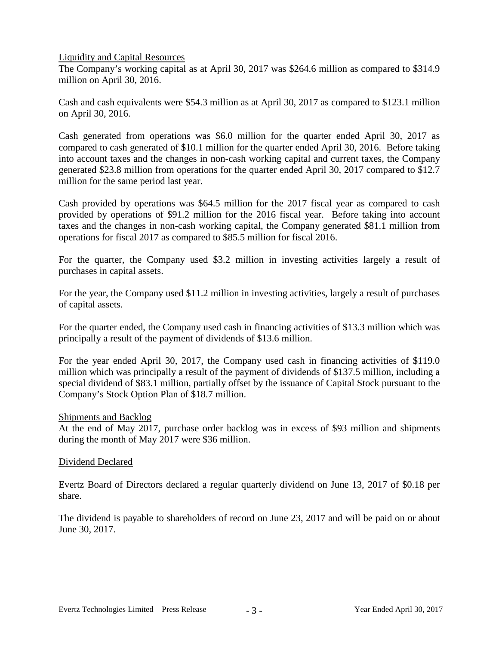Liquidity and Capital Resources

The Company's working capital as at April 30, 2017 was \$264.6 million as compared to \$314.9 million on April 30, 2016.

Cash and cash equivalents were \$54.3 million as at April 30, 2017 as compared to \$123.1 million on April 30, 2016.

Cash generated from operations was \$6.0 million for the quarter ended April 30, 2017 as compared to cash generated of \$10.1 million for the quarter ended April 30, 2016. Before taking into account taxes and the changes in non-cash working capital and current taxes, the Company generated \$23.8 million from operations for the quarter ended April 30, 2017 compared to \$12.7 million for the same period last year.

Cash provided by operations was \$64.5 million for the 2017 fiscal year as compared to cash provided by operations of \$91.2 million for the 2016 fiscal year. Before taking into account taxes and the changes in non-cash working capital, the Company generated \$81.1 million from operations for fiscal 2017 as compared to \$85.5 million for fiscal 2016.

For the quarter, the Company used \$3.2 million in investing activities largely a result of purchases in capital assets.

For the year, the Company used \$11.2 million in investing activities, largely a result of purchases of capital assets.

For the quarter ended, the Company used cash in financing activities of \$13.3 million which was principally a result of the payment of dividends of \$13.6 million.

For the year ended April 30, 2017, the Company used cash in financing activities of \$119.0 million which was principally a result of the payment of dividends of \$137.5 million, including a special dividend of \$83.1 million, partially offset by the issuance of Capital Stock pursuant to the Company's Stock Option Plan of \$18.7 million.

#### Shipments and Backlog

At the end of May 2017, purchase order backlog was in excess of \$93 million and shipments during the month of May 2017 were \$36 million.

#### Dividend Declared

Evertz Board of Directors declared a regular quarterly dividend on June 13, 2017 of \$0.18 per share.

The dividend is payable to shareholders of record on June 23, 2017 and will be paid on or about June 30, 2017.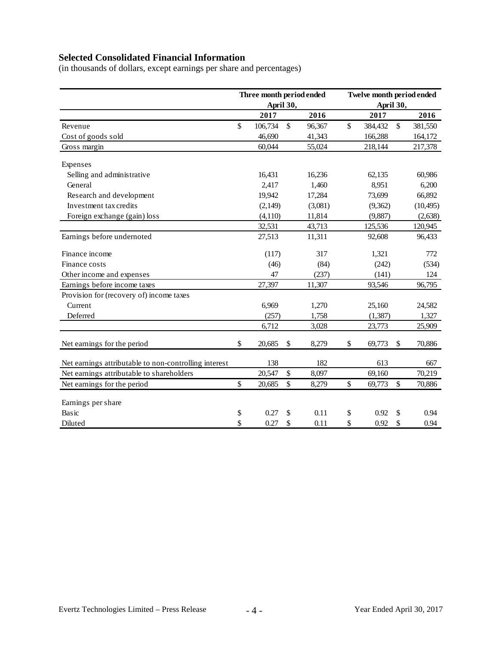# **Selected Consolidated Financial Information**

(in thousands of dollars, except earnings per share and percentages)

|                                                       | Three month period ended<br>April 30, |              |         | Twelve month period ended<br>April 30, |          |                           |           |  |
|-------------------------------------------------------|---------------------------------------|--------------|---------|----------------------------------------|----------|---------------------------|-----------|--|
|                                                       | 2017                                  |              | 2016    |                                        | 2017     |                           | 2016      |  |
| Revenue                                               | \$<br>106,734                         | $\mathbb{S}$ | 96,367  | $\mathbb{S}$                           | 384,432  | $\boldsymbol{\mathsf{S}}$ | 381,550   |  |
| Cost of goods sold                                    | 46,690                                |              | 41,343  |                                        | 166,288  |                           | 164,172   |  |
| Gross margin                                          | 60,044                                |              | 55,024  |                                        | 218,144  |                           | 217,378   |  |
| Expenses                                              |                                       |              |         |                                        |          |                           |           |  |
| Selling and administrative                            | 16,431                                |              | 16,236  |                                        | 62,135   |                           | 60,986    |  |
| General                                               | 2,417                                 |              | 1,460   |                                        | 8,951    |                           | 6,200     |  |
| Research and development                              | 19,942                                |              | 17,284  | 73,699                                 |          |                           | 66,892    |  |
| Investment tax credits                                | (2,149)                               |              | (3,081) |                                        | (9,362)  |                           | (10, 495) |  |
| Foreign exchange (gain) loss                          | (4,110)                               |              | 11,814  |                                        | (9,887)  |                           | (2,638)   |  |
|                                                       | 32,531                                |              | 43,713  |                                        | 125,536  |                           | 120,945   |  |
| Earnings before undernoted                            | 27,513                                |              | 11,311  |                                        | 92,608   |                           | 96,433    |  |
| Finance income                                        | (117)                                 |              | 317     |                                        | 1,321    |                           | 772       |  |
| Finance costs                                         | (46)                                  |              | (84)    | (242)                                  |          |                           | (534)     |  |
| Other income and expenses                             | 47                                    |              | (237)   |                                        | (141)    |                           | 124       |  |
| Earnings before income taxes                          | 27,397                                |              | 11,307  |                                        | 93,546   |                           | 96,795    |  |
| Provision for (recovery of) income taxes              |                                       |              |         |                                        |          |                           |           |  |
| Current                                               | 6,969                                 |              | 1,270   |                                        | 25,160   |                           | 24,582    |  |
| Deferred                                              | (257)                                 |              | 1,758   |                                        | (1, 387) |                           | 1,327     |  |
|                                                       | 6,712                                 |              | 3,028   | 23,773                                 |          |                           | 25,909    |  |
| Net earnings for the period                           | \$<br>20,685                          | \$           | 8,279   | \$                                     | 69,773   | \$                        | 70,886    |  |
| Net earnings attributable to non-controlling interest | 138                                   |              | 182     |                                        | 613      |                           | 667       |  |
| Net earnings attributable to shareholders             | 20,547                                | \$           | 8,097   |                                        | 69,160   |                           | 70,219    |  |
| Net earnings for the period                           | \$<br>20,685                          | \$           | 8,279   | \$                                     | 69,773   | \$                        | 70,886    |  |
| Earnings per share                                    |                                       |              |         |                                        |          |                           |           |  |
| Basic                                                 | \$<br>0.27                            | \$           | 0.11    | \$                                     | 0.92     | \$                        | 0.94      |  |
| Diluted                                               | \$<br>0.27                            | \$           | 0.11    | \$                                     | 0.92     | \$                        | 0.94      |  |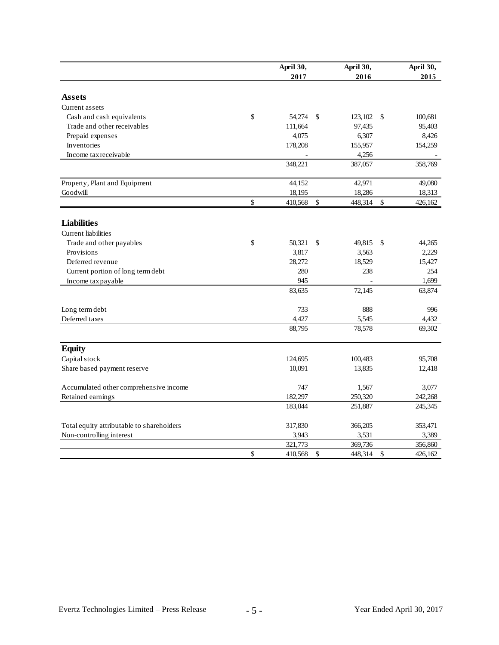|                                           | April 30,     |               | April 30, |               | April 30, |
|-------------------------------------------|---------------|---------------|-----------|---------------|-----------|
|                                           | 2017          |               | 2016      |               | 2015      |
| <b>Assets</b>                             |               |               |           |               |           |
| Current assets                            |               |               |           |               |           |
| Cash and cash equivalents                 | \$<br>54,274  | <sup>\$</sup> | 123,102   | <sup>\$</sup> | 100,681   |
| Trade and other receivables               | 111,664       |               | 97,435    |               | 95,403    |
| Prepaid expenses                          | 4,075         |               | 6,307     |               | 8,426     |
| Inventories                               | 178,208       |               | 155,957   |               | 154,259   |
| Income tax receivable                     |               |               | 4,256     |               |           |
|                                           | 348,221       |               | 387,057   |               | 358,769   |
|                                           |               |               |           |               |           |
| Property, Plant and Equipment             | 44,152        |               | 42,971    |               | 49,080    |
| Goodwill                                  | \$<br>18,195  | $\mathbb{S}$  | 18,286    | $\mathbb{S}$  | 18,313    |
|                                           | 410,568       |               | 448,314   |               | 426,162   |
| <b>Liabilities</b>                        |               |               |           |               |           |
| <b>Current</b> liabilities                |               |               |           |               |           |
| Trade and other payables                  | \$<br>50.321  | \$            | 49,815    | \$            | 44,265    |
| Provisions                                | 3,817         |               | 3,563     |               | 2,229     |
| Deferred revenue                          | 28,272        |               | 18,529    |               | 15,427    |
| Current portion of long term debt         | 280           |               | 238       |               | 254       |
| Income tax payable                        | 945           |               |           |               | 1,699     |
|                                           | 83,635        |               | 72,145    |               | 63,874    |
| Long term debt                            | 733           |               | 888       |               | 996       |
| Deferred taxes                            | 4,427         |               | 5,545     |               | 4,432     |
|                                           | 88,795        |               | 78,578    |               | 69,302    |
| <b>Equity</b>                             |               |               |           |               |           |
| Capital stock                             | 124,695       |               | 100,483   |               | 95,708    |
| Share based payment reserve               | 10,091        |               | 13,835    |               | 12,418    |
| Accumulated other comprehensive income    | 747           |               | 1,567     |               | 3,077     |
| Retained earnings                         | 182,297       |               | 250,320   |               | 242,268   |
|                                           | 183,044       |               | 251,887   |               | 245,345   |
| Total equity attributable to shareholders | 317,830       |               | 366,205   |               | 353,471   |
| Non-controlling interest                  | 3,943         |               | 3,531     |               | 3,389     |
|                                           | 321,773       |               | 369,736   |               | 356,860   |
|                                           | \$<br>410,568 | \$            | 448,314   | \$            | 426,162   |